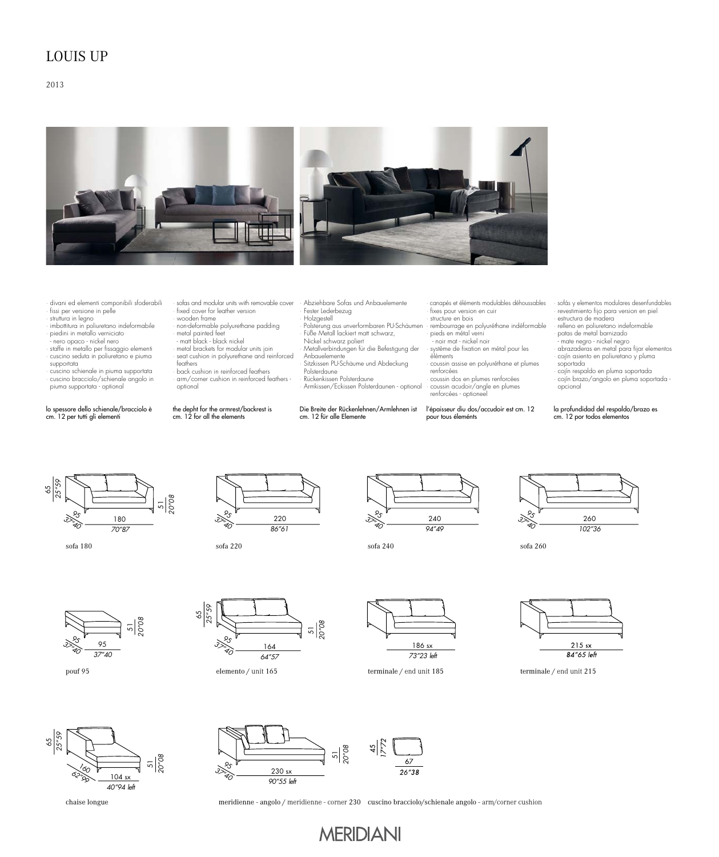## LOUIS UP

### 2013



- · divani ed elementi componibili sfoderabili fissi per versione in pelle
- · struttura in legno
- · imbottitura in poliuretano indeformabile piedini in metallo verniciato
- nero opaco nickel nero
- · staffe in metallo per fissaggio elementi · cuscino seduta in poliuretano e piuma
- supportata · cuscino schienale in piuma supportata
- · cuscino bracciolo/schienale angolo in piuma supportata optional

#### lo spessore dello schienale/bracciolo è cm. 12 per tutti gli elementi

- · sofas and modular units with removable cover fixed cover for leather version
- · wooden frame · non-deformable polyurethane padding
- · metal painted feet matt black black nickel
- metal brackets for modular units join
- seat cushion in polyurethane and reinforced feathers back cushion in reinforced feathers
- · arm/corner cushion in reinforced feathers optional

#### the depht for the armrest/backrest is cm. 12 for all the elements

- · Abziehbare Sofas und Anbauelemente Fester Lederbezug
- · Holzgestell · Polsterung aus unverformbaren PU-Schäumen
- 
- · Füße Metall lackiert matt schwarz, Nickel schwarz poliert · Metallverbindungen für die Befestigung der
- Anbauelemente
- · Sitzkissen PU-Schäume und Abdeckung
- Polsterdaune
	- · Rückenkissen Polsterdaune · Armkissen/Eckissen Polsterdaunen optional

Die Breite der Rückenlehnen/Armlehnen ist cm. 12 für alle Elemente

· canapés et éléments modulables déhoussables fixes pour version en cuir structure en bois

- · rembourrage en polyuréthane indéformable · pieds en métal verni - noir mat - nickel noir
- · système de fixation en métal pour les
- éléments · coussin assise en polyuréthane et plumes
- renforcées · coussin dos en plumes renforcées · coussin acudoir/angle en plumes
- renforcées optioneel

l'épaisseur diu dos/accudoir est cm. 12 pour tous éleménts

· sofás y elementos modulares desenfundables revestimiento fijo para version en piel · estructura de madera

- · relleno en poliuretano indeformable
- · patas de metal barnizado mate negro nickel negro
- · abrazaderas en metal para fijar elementos · cojín asiento en poliuretano y pluma soportada
- 
- · cojín respaldo en pluma soportada · cojín brazo/angolo en pluma soportada opcional

#### la profundidad del respaldo/brazo es cm. 12 por todos elementos



sofa 180 sofa 220





sofa 240



sofa 260



pouf 95







elemento / unit 165 terminale / end unit 185 terminale / end unit 215







meridienne - angolo / meridienne - corner 230 cuscino bracciolo/schienale angolo - arm/corner cushion

**MERIDIANI**